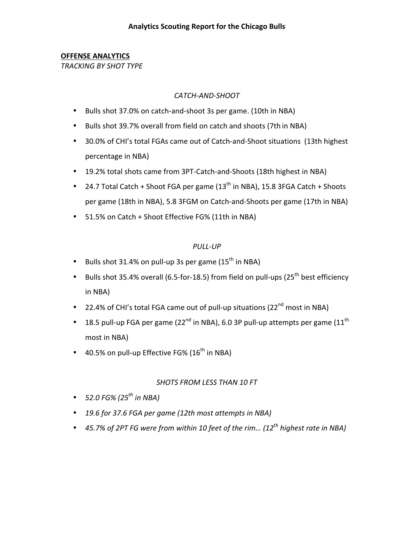#### **OFFENSE ANALYTICS**

**TRACKING BY SHOT TYPE** 

#### CATCH-AND-SHOOT

- Bulls shot 37.0% on catch-and-shoot 3s per game. (10th in NBA)
- Bulls shot 39.7% overall from field on catch and shoots (7th in NBA)
- 30.0% of CHI's total FGAs came out of Catch-and-Shoot situations (13th highest percentage in NBA)
- 19.2% total shots came from 3PT-Catch-and-Shoots (18th highest in NBA)
- 24.7 Total Catch + Shoot FGA per game  $(13<sup>th</sup>$  in NBA), 15.8 3FGA Catch + Shoots per game (18th in NBA), 5.8 3FGM on Catch-and-Shoots per game (17th in NBA)
- 51.5% on Catch + Shoot Effective FG% (11th in NBA)

#### *PULL1UP*

- Bulls shot 31.4% on pull-up 3s per game ( $15<sup>th</sup>$  in NBA)
- Bulls shot 35.4% overall (6.5-for-18.5) from field on pull-ups (25<sup>th</sup> best efficiency in NBA)
- 22.4% of CHI's total FGA came out of pull-up situations (22<sup>nd</sup> most in NBA)
- 18.5 pull-up FGA per game (22<sup>nd</sup> in NBA), 6.0 3P pull-up attempts per game (11<sup>th</sup> most in NBA)
- 40.5% on pull-up Effective FG% ( $16<sup>th</sup>$  in NBA)

#### *SHOTS)FROM)LESS)THAN)10)FT*

- $52.0$  *FG%* (25<sup>th</sup> in NBA)
- 19.6 for 37.6 *FGA* per game (12th most attempts in NBA)
- 45.7% of 2PT FG were from within 10 feet of the rim... (12<sup>th</sup> highest rate in NBA)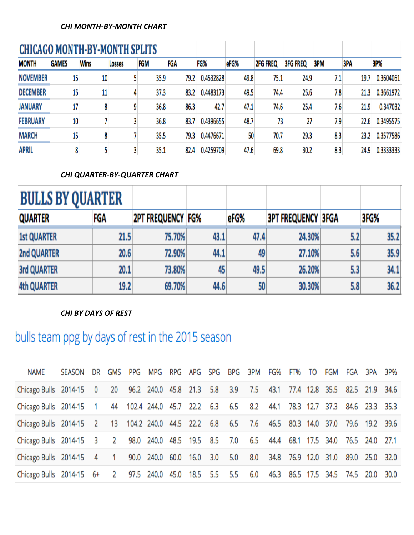#### **CHI MONTH-BY-MONTH CHART**

| <b>CHICAGO MONTH-BY-MONTH SPLITS</b> |              |             |        |      |      |           |      |                 |                 |     |      |           |
|--------------------------------------|--------------|-------------|--------|------|------|-----------|------|-----------------|-----------------|-----|------|-----------|
| <b>MONTH</b>                         | <b>GAMES</b> | <b>Wins</b> | Losses | FGM  | FGA  | FG%       | eFG% | <b>2FG FREQ</b> | <b>3FG FREQ</b> | 3PM | 3PA  | 3P%       |
| <b>NOVEMBER</b>                      | 15           | 10          |        | 35.9 | 79.2 | 0.4532828 | 49.8 | 75.1            | 24.9            | 7.1 | 19.7 | 0.3604061 |
| <b>DECEMBER</b>                      | 15           | 11          |        | 37.3 | 83.2 | 0.4483173 | 49.5 | 74.4            | 25.6            | 7.8 | 21.3 | 0.3661972 |
| <b>JANUARY</b>                       | 17           |             |        | 36.8 | 86.3 | 42.7      | 47.1 | 74.6            | 25.4            | 7.6 | 21.9 | 0.347032  |
| <b>FEBRUARY</b>                      | 10           |             |        | 36.8 | 83.7 | 0.4396655 | 48.7 | 73              | 27              | 7.9 | 22.6 | 0.3495575 |
| <b>MARCH</b>                         | 15           |             |        | 35.5 | 79.3 | 0.4476671 | 50   | 70.7            | 29.3            | 8.3 | 23.2 | 0.3577586 |
| <b>APRIL</b>                         |              |             |        | 35.1 | 82.4 | 0.4259709 | 47.6 | 69.8            | 30.2            | 8.3 | 24.9 | 0.3333333 |

#### **CHI QUARTER-BY-QUARTER CHART**

| <b>BULLS BY QUARTER</b> |      |                          |      |      |                           |     |      |
|-------------------------|------|--------------------------|------|------|---------------------------|-----|------|
| <b>QUARTER</b>          | FGA  | <b>2PT FREQUENCY FG%</b> |      | eFG% | <b>3PT FREQUENCY 3FGA</b> |     | 3FG% |
| <b>1st QUARTER</b>      | 21.5 | 75.70%                   | 43.1 | 47.4 | 24.30%                    | 5.2 | 35.2 |
| <b>2nd QUARTER</b>      | 20.6 | 72.90%                   | 44.1 | 49   | 27.10%                    | 5.6 | 35.9 |
| <b>3rd QUARTER</b>      | 20.1 | 73.80%                   | 45   | 49.5 | 26.20%                    | 5.3 | 34.1 |
| <b>4th QUARTER</b>      | 19.2 | 69.70%                   | 44.6 | 50   | 30.30%                    | 5.8 | 36.2 |

#### **CHI BY DAYS OF REST**

# bulls team ppg by days of rest in the 2015 season

| NAME                                                                                            | SEASON DR GMS PPG MPG RPG APG SPG BPG 3PM FG% FT% TO FGM FGA 3PA 3P% |  |  |  |  |  |  |  |  |
|-------------------------------------------------------------------------------------------------|----------------------------------------------------------------------|--|--|--|--|--|--|--|--|
| Chicago Bulls 2014-15 0 20 96.2 240.0 45.8 21.3 5.8 3.9 7.5 43.1 77.4 12.8 35.5 82.5 21.9 34.6  |                                                                      |  |  |  |  |  |  |  |  |
| Chicago Bulls 2014-15 1 44 102.4 244.0 45.7 22.2 6.3 6.5 8.2 44.1 78.3 12.7 37.3 84.6 23.3 35.3 |                                                                      |  |  |  |  |  |  |  |  |
| Chicago Bulls 2014-15 2 13 104.2 240.0 44.5 22.2 6.8 6.5 7.6 46.5 80.3 14.0 37.0 79.6 19.2 39.6 |                                                                      |  |  |  |  |  |  |  |  |
| Chicago Bulls 2014-15 3 2 98.0 240.0 48.5 19.5 8.5 7.0 6.5 44.4 68.1 17.5 34.0 76.5 24.0 27.1   |                                                                      |  |  |  |  |  |  |  |  |
| Chicago Bulls 2014-15 4 1 90.0 240.0 60.0 16.0 3.0 5.0 8.0 34.8 76.9 12.0 31.0 89.0 25.0 32.0   |                                                                      |  |  |  |  |  |  |  |  |
| Chicago Bulls 2014-15 6+ 2 97.5 240.0 45.0 18.5 5.5 5.5 6.0 46.3 86.5 17.5 34.5 74.5 20.0 30.0  |                                                                      |  |  |  |  |  |  |  |  |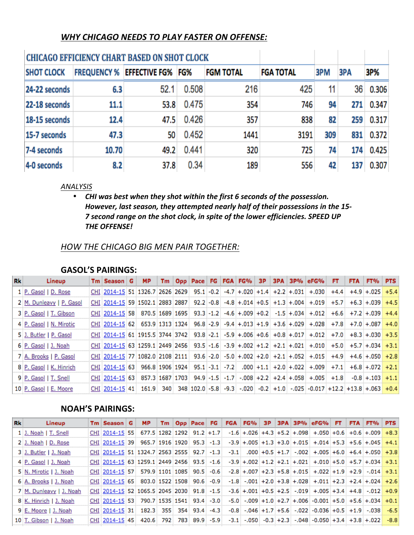#### *WHY CHICAGO NEEDS TO PLAY FASTER ON OFFENSE:*

|                   |                    | <b>CHICAGO EFFICIENCY CHART BASED ON SHOT CLOCK</b> |       |                  |                  |     |     |       |
|-------------------|--------------------|-----------------------------------------------------|-------|------------------|------------------|-----|-----|-------|
| <b>SHOT CLOCK</b> | <b>FREQUENCY %</b> | <b>EFFECTIVE FG% FG%</b>                            |       | <b>FGM TOTAL</b> | <b>FGA TOTAL</b> | 3PM | 3PA | 3P%   |
| 24-22 seconds     | 6.3                | 52.1                                                | 0.508 | 216              | 425              | 11  | 36  | 0.306 |
| 22-18 seconds     | 11.1               | 53.8                                                | 0.475 | 354              | 746              | 94  | 271 | 0.347 |
| 18-15 seconds     | 12.4               | 47.5                                                | 0.426 | 357              | 838              | 82  | 259 | 0.317 |
| 15-7 seconds      | 47.3               | 50                                                  | 0.452 | 1441             | 3191             | 309 | 831 | 0.372 |
| 7-4 seconds       | 10.70              | 49.2                                                | 0.441 | 320              | 725              | 74  | 174 | 0.425 |
| 4-0 seconds       | 8.2                | 37.8                                                | 0.34  | 189              | 556              | 42  | 137 | 0.307 |

#### *ANALYSIS)*

• CHI was best when they shot within the first 6 seconds of the possession. *However, last season, they attempted nearly half of their possessions in the 15-7 second range on the shot clock, in spite of the lower efficiencies. SPEED UP* **THE OFFENSE!** 

#### *HOW)THE CHICAGO BIG)MEN)PAIR)TOGETHER:*

#### **GASOL'S PAIRINGS:**

| Rk | Lineup                   | $Tm$ Season $G$                                                                                                 | <b>MP</b> |  |  |  |  | Tm Opp Pace FG FGA FG% 3P 3PA 3P% eFG% | FT. | <b>FTA</b> | FT%          | <b>PTS</b> |
|----|--------------------------|-----------------------------------------------------------------------------------------------------------------|-----------|--|--|--|--|----------------------------------------|-----|------------|--------------|------------|
|    | 1 P. Gasol   D. Rose     | $CHI$ 2014-15 51 1326.7 2626 2629 95.1 -0.2 -4.7 +.020 +1.4 +2.2 +.031 +.030 +4.4 +4.9 +.025 +5.4               |           |  |  |  |  |                                        |     |            |              |            |
|    | 2 M. Dunleavy   P. Gasol | CHI 2014-15 59 1502.1 2883 2887 92.2 -0.8 -4.8 +.014 +0.5 +1.3 +.004 +.019 +5.7 +6.3 +.039                      |           |  |  |  |  |                                        |     |            |              | $+4.5$     |
|    | 3 P. Gasol   T. Gibson   | CHI 2014-15 58 870.5 1689 1695 93.3 -1.2 -4.6 +.009 +0.2 -1.5 +.034 +.012 +6.6 +7.2 +.039 +4.4                  |           |  |  |  |  |                                        |     |            |              |            |
|    | 4 P. Gasol   N. Mirotic  | $CHI$ 2014-15 62 653.9 1313 1324 96.8 -2.9 -9.4 +.013 +1.9 +3.6 +.029 +.028 +7.8 +7.0 +.087 +4.0                |           |  |  |  |  |                                        |     |            |              |            |
|    | 5 J. Butler   P. Gasol   | $CHI: 2014-15.61:1915.5:3744:3742:93.8: -2.1: -5.9: +0.06: +0.6: +0.8: +0.017: +0.02: +7.0: +8.3: +0.030: +3.5$ |           |  |  |  |  |                                        |     |            |              |            |
|    | 6 P. Gasol   J. Noah     | CHI 2014-15 63 1259.1 2449 2456 93.5 -1.6 -3.9 +.002 +1.2 +2.1 +.021 +.010 +5.0 +5.7 +.034 +3.1                 |           |  |  |  |  |                                        |     |            |              |            |
|    | 7 A. Brooks   P. Gasol   | $CHI$ 2014-15 77 1082.0 2108 2111 93.6 -2.0 -5.0 +.002 +2.0 +2.1 +.052 +.015 +4.9 +4.6 +.050 +2.8               |           |  |  |  |  |                                        |     |            |              |            |
|    | 8 P. Gasol   K. Hinrich  | CHI:2014-15:63: 966.8:1906:1924: 95.1:-3.1: -7.2: .000:+1.1: +2.0:+.022: +.009: +7.1: +6.8:+.072: +2.1          |           |  |  |  |  |                                        |     |            |              |            |
|    | 9 P. Gasol   T. Snell    | $CHI$ 2014-15 63 857.3 1687 1703 94.9 -1.5 -1.7 -008 +2.2 +2.4 +.058 +.005 +1.8                                 |           |  |  |  |  |                                        |     |            | $-0.8 + 103$ | $+1.1$     |
|    | 10 P. Gasol   E. Moore   | CHI 2014-15 41 161.9 340 348 102.0 -5.8 -9.3 -.020 -0.2 +1.0 -.025 -0.017 +12.2 +13.8 +.063 +0.4                |           |  |  |  |  |                                        |     |            |              |            |

#### **NOAH'S PAIRINGS:**

| <b>Rk</b> | Lineup                  | $Tm  $ Season $ $ G                       | <b>MP</b> |  | Tm   Opp   Pace   FG |        |  |  | $FGA$ $FG\%$ 3P 3PA 3P% $GFG\%$ $FT$ $FTA$ $FT\%$                                  |  | <b>PTS</b> |
|-----------|-------------------------|-------------------------------------------|-----------|--|----------------------|--------|--|--|------------------------------------------------------------------------------------|--|------------|
|           | 1 J. Noah   T. Snell    | CHI 2014-15 55 677.5 1282 1292 91.2 +1.7  |           |  |                      |        |  |  | $-1.6$ + 026 + 4.3 + 5.2 + 098 + 050 + 0.6 + 0.6 + 009                             |  | $+8.3$     |
|           | 2 J. Noah   D. Rose     | CHI 2014-15 39 965.7 1916 1920 95.3 -1.3  |           |  |                      |        |  |  | $-3.9 + 0.005 + 1.3 + 3.0 + 0.015 + 0.014 + 5.3 + 5.6 + 0.045$                     |  | $+4.1$     |
|           | 3 J. Butler   J. Noah   | CHI 2014-15 51 1324.7 2563 2555 92.7 -1.3 |           |  |                      |        |  |  | $-3.1$ $000 + 0.5 + 1.7$ $-002 + 0.05 + 6.0 + 6.4 + 0.05 + 3.8$                    |  |            |
|           | 4 P. Gasol   J. Noah    | CHI 2014-15 63 1259.1 2449 2456 93.5 -1.6 |           |  |                      |        |  |  | $-3.9$ + $.002$ + $1.2$ + $2.1$ + $.021$ + $.010$ + $5.0$ + $5.7$ + $.034$ + $3.1$ |  |            |
|           | 5 N. Mirotic   J. Noah  | CHI 2014-15 57 579.9 1101 1085 90.5 -0.6  |           |  |                      |        |  |  | $-2.8$ + $.007$ + $2.3$ + $5.8$ + $.015$ + $.022$ + $1.9$ + $2.9$ - $.014$ + $3.1$ |  |            |
|           | 6 A. Brooks   J. Noah   | CHI 2014-15 65 803.0 1522 1508 90.6       |           |  |                      | $-0.9$ |  |  | $-1.8$ $-.001$ $+2.0$ $+3.8$ $+.028$ $+.011$ $+2.3$ $+2.4$ $+.024$ $+2.6$          |  |            |
|           | 7 M. Dunleavy   J. Noah |                                           |           |  |                      |        |  |  |                                                                                    |  |            |
|           | 8 K. Hinrich   J. Noah  | CHI 2014-15 53 790.7 1535 1541 93.4 -3.0  |           |  |                      |        |  |  | $-5.0$ $-.009$ $+1.0$ $+2.7$ $+.006$ $-0.001$ $+5.0$ $+5.6$ $+.034$ $+0.1$         |  |            |
|           | 9 E. Moore   J. Noah    | CHI 2014-15 31 182.3 355 354 93.4         |           |  |                      | $-4.3$ |  |  | $-0.8$ $-.046$ $+1.7$ $+5.6$ $-.022$ $-0.036$ $+0.5$ $+1.9$ $-.038$                |  | $-6.5$     |
|           | 10 T. Gibson   J. Noah  | CHI 2014-15 45 420.6 792 783 89.9 -5.9    |           |  |                      |        |  |  | $-3.1$ $-.050$ $-0.3$ $+2.3$ $-.048$ $-0.050$ $+3.4$ $+3.8$ $+.022$                |  | $-8.8$     |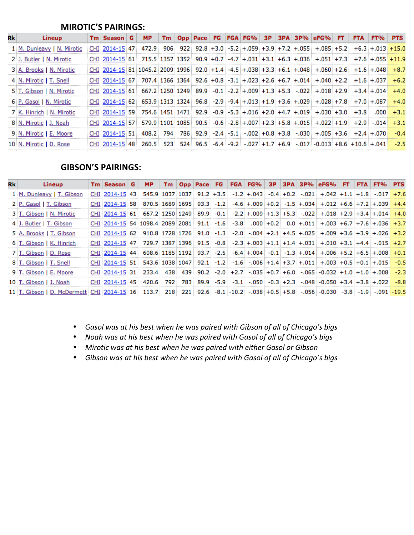#### **MIROTIC'S PAIRINGS:**

| Rk | Lineup                     | $Tm  $ Season $ G $                                                                                                               | <b>MP</b> |  |  |  |  | Tm Opp Pace FG FGA FG% 3P 3PA 3P% eFG% FT |  | FTA FT% PTS |              |
|----|----------------------------|-----------------------------------------------------------------------------------------------------------------------------------|-----------|--|--|--|--|-------------------------------------------|--|-------------|--------------|
|    | 1 M. Dunleavy   N. Mirotic | $CHI$ 2014-15 47 472.9 906 922 92.8 +3.0 -5.2 +.059 +3.9 +7.2 +.055 +.085 +5.2 +6.3 +.013 +15.0                                   |           |  |  |  |  |                                           |  |             |              |
|    | 2 J. Butler   N. Mirotic   | CHI 2014-15 61 715.5 1357 1352 90.9 +0.7 -4.7 +.031 +3.1 +6.3 +.036 +.051 +7.3 +7.6 +.055 +11.9                                   |           |  |  |  |  |                                           |  |             |              |
|    | 3 A. Brooks   N. Mirotic   | $CHI$ 2014-15 81 1045.2 2009 1996 92.0 +1.4 -4.5 +.038 +3.3 +6.1 +.048 +.060 +2.6 +1.6 +.048 +.057                                |           |  |  |  |  |                                           |  |             |              |
|    | 4 N. Mirotic   T. Snell    | $CHI$ 2014-15 67 707.4 1366 1364 92.6 +0.8 -3.1 +.023 +2.6 +6.7 +.014 +.040 +2.2 +1.6 +.037 +6.2                                  |           |  |  |  |  |                                           |  |             |              |
|    | 5 T. Gibson   N. Mirotic   | $CHI$ $[2014-15]$ 61 $[67,2]$ 1250 $[1249]$ 89.9 $-0.1$ $-2.2$ $+0.09$ $+1.3$ $+5.3$ $-.022$ $+0.08$ $+2.9$ $+3.4$ $+0.14$ $+4.0$ |           |  |  |  |  |                                           |  |             |              |
|    | 6 P. Gasol   N. Mirotic    | $CHI$ 2014-15 62 653.9 1313 1324 96.8 -2.9 -9.4 +.013 +1.9 +3.6 +.029 +.028 +7.8 +7.0 +.087 +.03                                  |           |  |  |  |  |                                           |  |             |              |
|    | 7 K. Hinrich   N. Mirotic  | $CHI$   2014-15 59 754.6 1451 1471 92.9 -0.9 -5.3 +.016 +2.0 +4.7 +.019 +.030 +3.0 +3.8                                           |           |  |  |  |  |                                           |  |             | $.000 + 3.1$ |
|    | 8 N. Mirotic   J. Noah     | $CHI$ 2014-15 57 579.9 1101 1085 90.5 -0.6 -2.8 +.007 +2.3 +5.8 +.015 +.022 +1.9 +2.9 -.014 +3.1                                  |           |  |  |  |  |                                           |  |             |              |
|    | 9 N. Mirotic   E. Moore    | CHI 2014-15 51 408.2 794 786 92.9 -2.4 -5.1 -.002 +0.8 +3.8 -.030 +.005 +3.6 +2.4 +.070                                           |           |  |  |  |  |                                           |  |             | $-0.4$       |
|    | 10 N. Mirotic   D. Rose    | CHI 2014-15 48 260.5 523 524 96.5 -6.4 -9.2 -.027 +1.7 +6.9 -.017 -0.013 +8.6 +10.6 +.041                                         |           |  |  |  |  |                                           |  |             | $-2.5$       |

#### **GIBSON'S PAIRINGS:**

| Rkl | Lineup                                                                                                                                                                                                                         | <b>Tm</b> Season G                                                                                                              | <b>MP</b> |     |  |  |  |  | Tm   Opp   Pace   FG   FGA   FG%   3P   3PA   3P%   eFG%   FT                                     |  | FTA FT% PTS |        |
|-----|--------------------------------------------------------------------------------------------------------------------------------------------------------------------------------------------------------------------------------|---------------------------------------------------------------------------------------------------------------------------------|-----------|-----|--|--|--|--|---------------------------------------------------------------------------------------------------|--|-------------|--------|
|     | 1 M. Dunleavy   T. Gibson                                                                                                                                                                                                      | CHI 2014-15 43                                                                                                                  |           |     |  |  |  |  | $545.9:1037:1037:91.2+3.5$ $-1.2+0.43:044+0.2$ $-0.21:021:022+1.1+1.8$ $-0.17:17.6$               |  |             |        |
|     | 2 P. Gasol   T. Gibson                                                                                                                                                                                                         | CHI 2014-15 58                                                                                                                  |           |     |  |  |  |  | $870.5\,1689\,1695\,93.3\,-1.2\,-4.6\,+0.09\,+0.2\,-1.5\,+0.34\,+\,0.12\,+6.6\,+7.2\,+0.09\,+4.4$ |  |             |        |
|     | 3 T. Gibson   N. Mirotic                                                                                                                                                                                                       | $CHI$ : 2014-15 61 667.2 1250 1249 89.9 -0.1 -2.2 +.009 +1.3 +5.3 -.022 +.018 +2.9 +3.4 +.014 +4.0                              |           |     |  |  |  |  |                                                                                                   |  |             |        |
|     | 4 J. Butler   T. Gibson                                                                                                                                                                                                        | $CHI$ 2014-15 54 1098.4 2089 2081 91.1 -1.6 -3.8 000 +0.2 0.0 +0.11 +.003 +6.7 +7.6 +036 +3.7                                   |           |     |  |  |  |  |                                                                                                   |  |             |        |
|     | 5 A. Brooks   T. Gibson                                                                                                                                                                                                        | $CHI$ 2014-15 62 910.8 1728 1726 91.0 -1.3 -2.0 -.004 +2.1 +4.5 +.025 +.009 +3.6 +3.9 +.026 +3.2                                |           |     |  |  |  |  |                                                                                                   |  |             |        |
|     | 6 T. Gibson   K. Hinrich                                                                                                                                                                                                       | $CHI$ 2014-15 47 729.7 1387 1396 91.5 -0.8 -2.3 +.003 +1.1 +1.4 +.031 +.010 +3.1 +4.4 -.015 +2.7                                |           |     |  |  |  |  |                                                                                                   |  |             |        |
|     | 7 T. Gibson   D. Rose                                                                                                                                                                                                          | $CHI$ 2014-15 44 608.6 1185 1192 93.7 -2.5 -6.4 +.004 -0.1 -1.3 +.014 +.006 +5.2 +6.5 +.008                                     |           |     |  |  |  |  |                                                                                                   |  |             | $+0.1$ |
|     | 8 T. Gibson   T. Snell                                                                                                                                                                                                         | $CHI$ $(2014-15)$ 51 $(543.6)$ 1038 1047 $(92.1)$ -1.2 $(1.6)$ -.006 $+1.4$ $+3.7$ $+0.01$ $+0.03$ $+0.5$ $+0.1$ $+0.05$ $-0.5$ |           |     |  |  |  |  |                                                                                                   |  |             |        |
|     | 9 T. Gibson   E. Moore                                                                                                                                                                                                         | $CHI$ [2014-15 31   233.4   438   439   90.2   -2.0   +2.7   -035   +0.7   +6.0   -065   -0.032   +1.0   +1.0   +.008   -2.3    |           |     |  |  |  |  |                                                                                                   |  |             |        |
|     | 10 T. Gibson   J. Noah                                                                                                                                                                                                         | CHI 2014-15 45                                                                                                                  | 420.6     | 792 |  |  |  |  | $783$ $89.9$ $-5.9$ $-3.1$ $-0.50$ $-0.3$ $+2.3$ $-0.98$ $-0.050$ $+3.4$ $+3.8$ $+0.022$          |  |             | $-8.8$ |
|     | 11.1. [-19.5 - 1.9 - 1.9 - 1.9 - 1.9 - 1.9 - 1.9 - 1.9 - 1.9 - 1.9 - 1.9 - 1.9 - 1.9 - 1.9 - 1.9 - 1.9 - 1.9 - 1.9 - 1.9 - 1.9 - 1.9 - 1.9 - 1.9 - 1.9 - 1.9 - 1.9 - 1.9 - 1.9 - 1.9 - 1.9 - 1.9 - 1.9 - 1.9 - 1.9 - 1.9 - 1.9 |                                                                                                                                 |           |     |  |  |  |  |                                                                                                   |  |             |        |

- Gasol was at his best when he was paired with Gibson of all of Chicago's bigs
- Noah was at his best when he was paired with Gasol of all of Chicago's bigs
- *Mirotic was at his best when he was paired with either Gasol or Gibson*
- Gibson was at his best when he was paired with Gasol of all of Chicago's bigs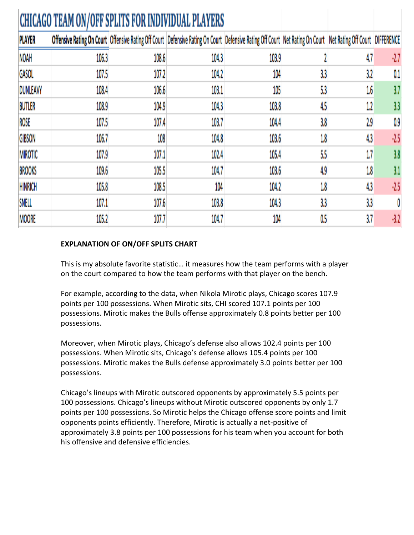|                | <b>CHICAGO TEAM ON/OFF SPLITS FOR INDIVIDUAL PLAYERS</b> |       |                                                                                                                                                               |       |         |         |        |
|----------------|----------------------------------------------------------|-------|---------------------------------------------------------------------------------------------------------------------------------------------------------------|-------|---------|---------|--------|
| <b>PLAYER</b>  |                                                          |       | Offensive Rating On Court Offensive Rating Off Court Defensive Rating On Court Defensive Rating Off Court Net Rating On Court Net Rating Off Court DIFFERENCE |       |         |         |        |
| NOAH           | 106.3                                                    | 108.6 | 104.3                                                                                                                                                         | 103.9 |         | 4,7     | $-2.7$ |
| GASOL          | 107.5                                                    | 107.2 | 104.2                                                                                                                                                         | 104   | 3,3     | 3,2     | 0.1    |
| DUNLEAVY       | 108.4                                                    | 106.6 | 103.1                                                                                                                                                         | 105   | 5,3     | 1.6     | 3.7    |
| <b>BUTLER</b>  | 108.9                                                    | 104.9 | 104.3                                                                                                                                                         | 103.8 | 4,5     | 1.2     | 3,3    |
| ROSE           | 107.5                                                    | 107.4 | 103.7                                                                                                                                                         | 104.4 | 3.8     | 2.9     | 0.9    |
| <b>GIBSON</b>  | 106.7                                                    | 108   | 104.8                                                                                                                                                         | 103.6 | $1.8\,$ | 4,3     | $-2.5$ |
| <b>MIROTIC</b> | 107.9                                                    | 107.1 | 102.4                                                                                                                                                         | 105.4 | 5,5     | 1.7     | 3.8    |
| <b>BROOKS</b>  | 109.6                                                    | 105.5 | 104.7                                                                                                                                                         | 103.6 | 4.9     | $1.8\,$ | 3.1    |
| <b>HINRICH</b> | 105.8                                                    | 108.5 | 104                                                                                                                                                           | 104.2 | $1.8\,$ | 4,3     | $-2.5$ |
| SNELL          | 107.1                                                    | 107.6 | 103.8                                                                                                                                                         | 104.3 | 3,3     | 3,3     | 0      |
| <b>MOORE</b>   | 105.2                                                    | 107.7 | 104.7                                                                                                                                                         | 104   | 0.5     | 3.7     | $-3.2$ |

#### **EXPLANATION OF ON/OFF SPLITS CHART**

This is my absolute favorite statistic... it measures how the team performs with a player on the court compared to how the team performs with that player on the bench.

For example, according to the data, when Nikola Mirotic plays, Chicago scores 107.9 points per 100 possessions. When Mirotic sits, CHI scored 107.1 points per 100 possessions. Mirotic makes the Bulls offense approximately 0.8 points better per 100 possessions.

Moreover, when Mirotic plays, Chicago's defense also allows 102.4 points per 100 possessions. When Mirotic sits, Chicago's defense allows 105.4 points per 100 possessions. Mirotic makes the Bulls defense approximately 3.0 points better per 100 possessions.!

Chicago's lineups with Mirotic outscored opponents by approximately 5.5 points per 100 possessions. Chicago's lineups without Mirotic outscored opponents by only 1.7 points per 100 possessions. So Mirotic helps the Chicago offense score points and limit opponents points efficiently. Therefore, Mirotic is actually a net-positive of approximately 3.8 points per 100 possessions for his team when you account for both his offensive and defensive efficiencies.